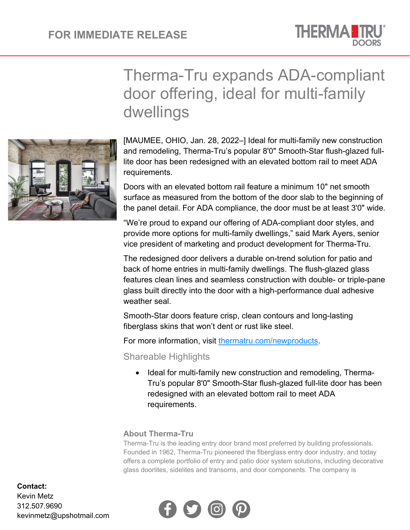

## Therma-Tru expands ADA-compliant door offering, ideal for multi-family dwellings

[MAUMEE, OHIO, Jan. 28, 2022–] Ideal for multi-family new construction and remodeling, Therma-Tru's popular 8'0" Smooth-Star flush-glazed fulllite door has been redesigned with an elevated bottom rail to meet ADA requirements.

Doors with an elevated bottom rail feature a minimum 10" net smooth surface as measured from the bottom of the door slab to the beginning of the panel detail. For ADA compliance, the door must be at least 3'0" wide.

"We're proud to expand our offering of ADA-compliant door styles, and provide more options for multi-family dwellings," said Mark Ayers, senior vice president of marketing and product development for Therma-Tru.

The redesigned door delivers a durable on-trend solution for patio and back of home entries in multi-family dwellings. The flush-glazed glass features clean lines and seamless construction with double- or triple-pane glass built directly into the door with a high-performance dual adhesive weather seal.

Smooth-Star doors feature crisp, clean contours and long-lasting fiberglass skins that won't dent or rust like steel.

For more information, visit [thermatru.com/newproducts.](https://www.thermatru.com/explore-products/new-products/?utm_source=url-forward&utm_medium=content-text&campaign=New+Products)

Shareable Highlights

Ideal for multi-family new construction and remodeling, Therma-Tru's popular 8'0" Smooth-Star flush-glazed full-lite door has been redesigned with an elevated bottom rail to meet ADA requirements.

## **About Therma-Tru**

Therma-Tru is the leading entry door brand most preferred by building professionals. Founded in 1962, Therma-Tru pioneered the fiberglass entry door industry, and today offers a complete portfolio of entry and patio door system solutions, including decorative glass doorlites, sidelites and transoms, and door components. The company is



## **Contact:**

Kevin Metz 312.507.9690 kevinmetz@upshotmail.com